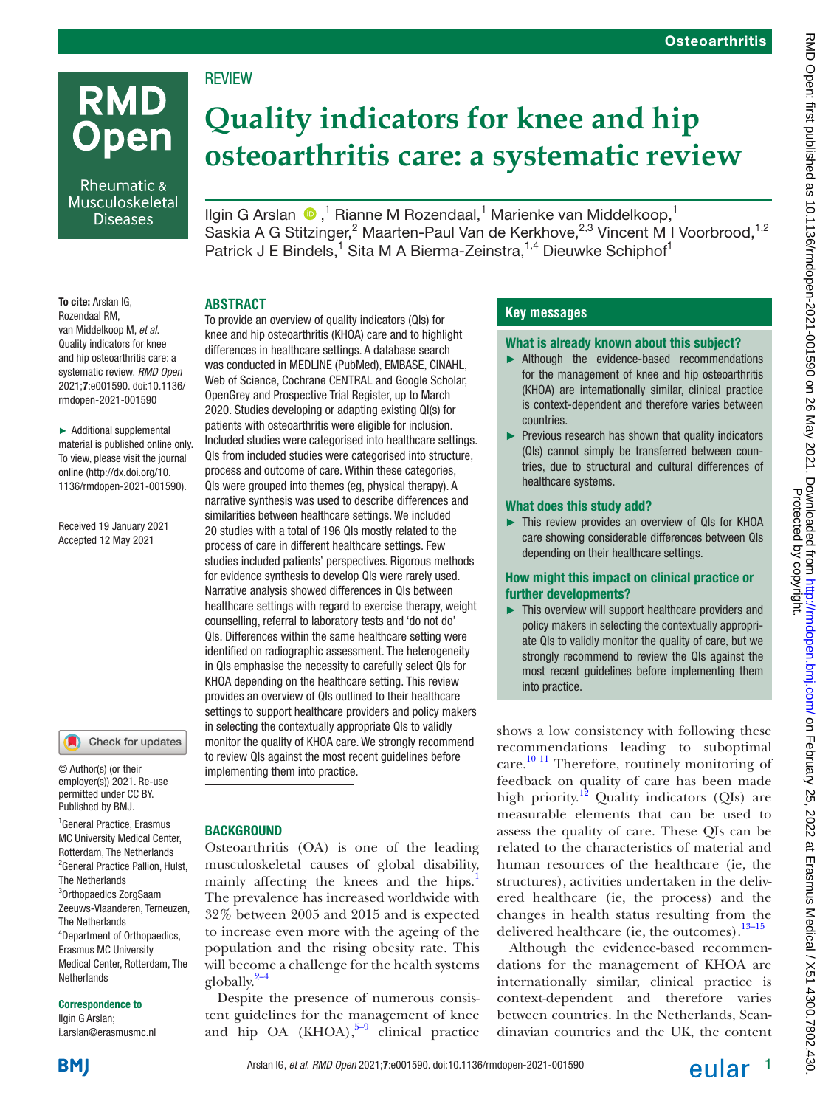# **RMD Open**

Rheumatic & Musculoskeletal **Diseases** 

## **Quality indicators for knee and hip osteoarthritis care: a systematic review**

IlginG Arslan  $\bigcirc$ ,<sup>1</sup> Rianne M Rozendaal,<sup>1</sup> Marienke van Middelkoop,<sup>1</sup> Saskia A G Stitzinger,<sup>2</sup> Maarten-Paul Van de Kerkhove,<sup>2,3</sup> Vincent M I Voorbrood,<sup>1,2</sup> Patrick J E Bindels,<sup>1</sup> Sita M A Bierma-Zeinstra,<sup>1,4</sup> Dieuwke Schiphof<sup>1</sup>

To cite: Arslan IG. Rozendaal RM, van Middelkoop M, *et al*. Quality indicators for knee and hip osteoarthritis care: a systematic review. *RMD Open* 2021;7:e001590. doi:10.1136/ rmdopen-2021-001590

► Additional supplemental material is published online only. To view, please visit the journal online ([http://dx.doi.org/10.](http://dx.doi.org/10.1136/rmdopen-2021-001590) [1136/rmdopen-2021-001590\)](http://dx.doi.org/10.1136/rmdopen-2021-001590).

Received 19 January 2021 Accepted 12 May 2021



© Author(s) (or their employer(s)) 2021. Re-use permitted under CC BY. Published by BMJ.

1 General Practice, Erasmus MC University Medical Center, Rotterdam, The Netherlands <sup>2</sup> General Practice Pallion, Hulst, The Netherlands 3 Orthopaedics ZorgSaam Zeeuws-Vlaanderen, Terneuzen, The Netherlands 4 Department of Orthopaedics, Erasmus MC University Medical Center, Rotterdam, The **Netherlands** 

#### Correspondence to

Ilgin G Arslan; i.arslan@erasmusmc.nl

#### **ABSTRACT**

**REVIEW** 

To provide an overview of quality indicators (QIs) for knee and hip osteoarthritis (KHOA) care and to highlight differences in healthcare settings. A database search was conducted in MEDLINE (PubMed), EMBASE, CINAHL, Web of Science, Cochrane CENTRAL and Google Scholar, OpenGrey and Prospective Trial Register, up to March 2020. Studies developing or adapting existing QI(s) for patients with osteoarthritis were eligible for inclusion. Included studies were categorised into healthcare settings. QIs from included studies were categorised into structure, process and outcome of care. Within these categories, QIs were grouped into themes (eg, physical therapy). A narrative synthesis was used to describe differences and similarities between healthcare settings. We included 20 studies with a total of 196 QIs mostly related to the process of care in different healthcare settings. Few studies included patients' perspectives. Rigorous methods for evidence synthesis to develop QIs were rarely used. Narrative analysis showed differences in QIs between healthcare settings with regard to exercise therapy, weight counselling, referral to laboratory tests and 'do not do' QIs. Differences within the same healthcare setting were identified on radiographic assessment. The heterogeneity in QIs emphasise the necessity to carefully select QIs for KHOA depending on the healthcare setting. This review provides an overview of QIs outlined to their healthcare settings to support healthcare providers and policy makers in selecting the contextually appropriate QIs to validly monitor the quality of KHOA care. We strongly recommend to review QIs against the most recent guidelines before implementing them into practice.

#### **BACKGROUND**

Osteoarthritis (OA) is one of the leading musculoskeletal causes of global disability, mainly affecting the knees and the hips.<sup>1</sup> The prevalence has increased worldwide with 32% between 2005 and 2015 and is expected to increase even more with the ageing of the population and the rising obesity rate. This will become a challenge for the health systems globally. $2-4$ 

Despite the presence of numerous consistent guidelines for the management of knee and hip OA (KHOA), $5-9$  clinical practice

#### **Key messages**

#### What is already known about this subject?

- ► Although the evidence-based recommendations for the management of knee and hip osteoarthritis (KHOA) are internationally similar, clinical practice is context-dependent and therefore varies between countries.
- ► Previous research has shown that quality indicators (QIs) cannot simply be transferred between countries, due to structural and cultural differences of healthcare systems.

#### What does this study add?

► This review provides an overview of QIs for KHOA care showing considerable differences between QIs depending on their healthcare settings.

#### How might this impact on clinical practice or further developments?

► This overview will support healthcare providers and policy makers in selecting the contextually appropriate QIs to validly monitor the quality of care, but we strongly recommend to review the QIs against the most recent guidelines before implementing them into practice.

shows a low consistency with following these recommendations leading to suboptimal care. [10 11](#page-11-3) Therefore, routinely monitoring of feedback on quality of care has been made high priority.<sup>[12](#page-11-4)</sup> Quality indicators (QIs) are measurable elements that can be used to assess the quality of care. These QIs can be related to the characteristics of material and human resources of the healthcare (ie, the structures), activities undertaken in the delivered healthcare (ie, the process) and the changes in health status resulting from the delivered healthcare (ie, the outcomes). $13-15$ 

Although the evidence-based recommendations for the management of KHOA are internationally similar, clinical practice is context-dependent and therefore varies between countries. In the Netherlands, Scandinavian countries and the UK, the content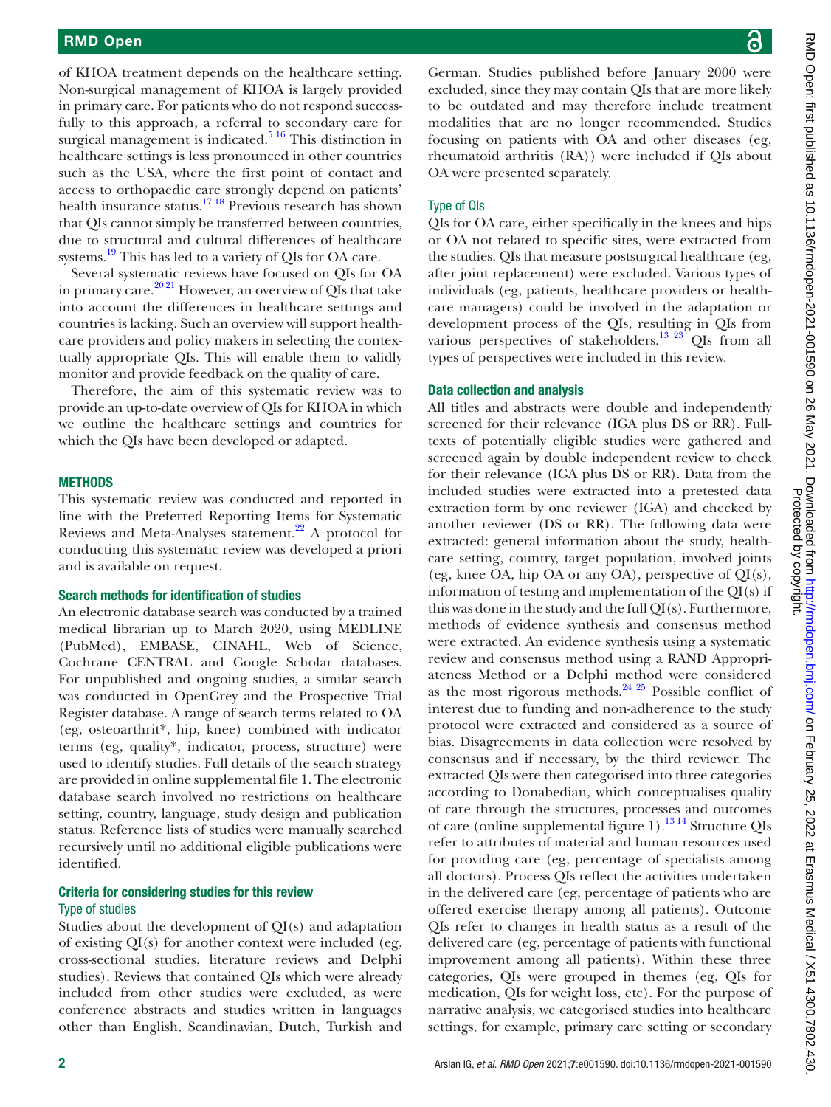of KHOA treatment depends on the healthcare setting. Non-surgical management of KHOA is largely provided in primary care. For patients who do not respond successfully to this approach, a referral to secondary care for surgical management is indicated. $5^{16}$  This distinction in healthcare settings is less pronounced in other countries such as the USA, where the first point of contact and access to orthopaedic care strongly depend on patients' health insurance status.[17 18](#page-11-6) Previous research has shown that QIs cannot simply be transferred between countries, due to structural and cultural differences of healthcare systems.<sup>19</sup> This has led to a variety of QIs for OA care.

Several systematic reviews have focused on QIs for OA in primary care.<sup>2021</sup> However, an overview of QIs that take into account the differences in healthcare settings and countries is lacking. Such an overview will support healthcare providers and policy makers in selecting the contextually appropriate QIs. This will enable them to validly monitor and provide feedback on the quality of care.

Therefore, the aim of this systematic review was to provide an up-to-date overview of QIs for KHOA in which we outline the healthcare settings and countries for which the QIs have been developed or adapted.

#### **METHODS**

This systematic review was conducted and reported in line with the Preferred Reporting Items for Systematic Reviews and Meta-Analyses statement. $^{22}$  $^{22}$  $^{22}$  A protocol for conducting this systematic review was developed a priori and is available on request.

#### Search methods for identification of studies

An electronic database search was conducted by a trained medical librarian up to March 2020, using MEDLINE (PubMed), EMBASE, CINAHL, Web of Science, Cochrane CENTRAL and Google Scholar databases. For unpublished and ongoing studies, a similar search was conducted in OpenGrey and the Prospective Trial Register database. A range of search terms related to OA (eg, osteoarthrit\*, hip, knee) combined with indicator terms (eg, quality\*, indicator, process, structure) were used to identify studies. Full details of the search strategy are provided in [online supplemental file 1.](https://dx.doi.org/10.1136/rmdopen-2021-001590) The electronic database search involved no restrictions on healthcare setting, country, language, study design and publication status. Reference lists of studies were manually searched recursively until no additional eligible publications were identified.

#### Criteria for considering studies for this review Type of studies

Studies about the development of QI(s) and adaptation of existing QI(s) for another context were included (eg, cross-sectional studies, literature reviews and Delphi studies). Reviews that contained QIs which were already included from other studies were excluded, as were conference abstracts and studies written in languages other than English, Scandinavian, Dutch, Turkish and

German. Studies published before January 2000 were excluded, since they may contain QIs that are more likely to be outdated and may therefore include treatment modalities that are no longer recommended. Studies focusing on patients with OA and other diseases (eg, rheumatoid arthritis (RA)) were included if QIs about OA were presented separately.

#### Type of QIs

QIs for OA care, either specifically in the knees and hips or OA not related to specific sites, were extracted from the studies. QIs that measure postsurgical healthcare (eg, after joint replacement) were excluded. Various types of individuals (eg, patients, healthcare providers or healthcare managers) could be involved in the adaptation or development process of the QIs, resulting in QIs from various perspectives of stakeholders.<sup>13 23</sup> QIs from all types of perspectives were included in this review.

#### Data collection and analysis

All titles and abstracts were double and independently screened for their relevance (IGA plus DS or RR). Fulltexts of potentially eligible studies were gathered and screened again by double independent review to check for their relevance (IGA plus DS or RR). Data from the included studies were extracted into a pretested data extraction form by one reviewer (IGA) and checked by another reviewer (DS or RR). The following data were extracted: general information about the study, healthcare setting, country, target population, involved joints (eg, knee OA, hip OA or any OA), perspective of  $OI(s)$ , information of testing and implementation of the QI(s) if this was done in the study and the full QI(s). Furthermore, methods of evidence synthesis and consensus method were extracted. An evidence synthesis using a systematic review and consensus method using a RAND Appropriateness Method or a Delphi method were considered as the most rigorous methods. $2425$  Possible conflict of interest due to funding and non-adherence to the study protocol were extracted and considered as a source of bias. Disagreements in data collection were resolved by consensus and if necessary, by the third reviewer. The extracted QIs were then categorised into three categories according to Donabedian, which conceptualises quality of care through the structures, processes and outcomes of care ([online supplemental figure 1\)](https://dx.doi.org/10.1136/rmdopen-2021-001590).<sup>[13 14](#page-11-5)</sup> Structure QIs refer to attributes of material and human resources used for providing care (eg, percentage of specialists among all doctors). Process QIs reflect the activities undertaken in the delivered care (eg, percentage of patients who are offered exercise therapy among all patients). Outcome QIs refer to changes in health status as a result of the delivered care (eg, percentage of patients with functional improvement among all patients). Within these three categories, QIs were grouped in themes (eg, QIs for medication, QIs for weight loss, etc). For the purpose of narrative analysis, we categorised studies into healthcare settings, for example, primary care setting or secondary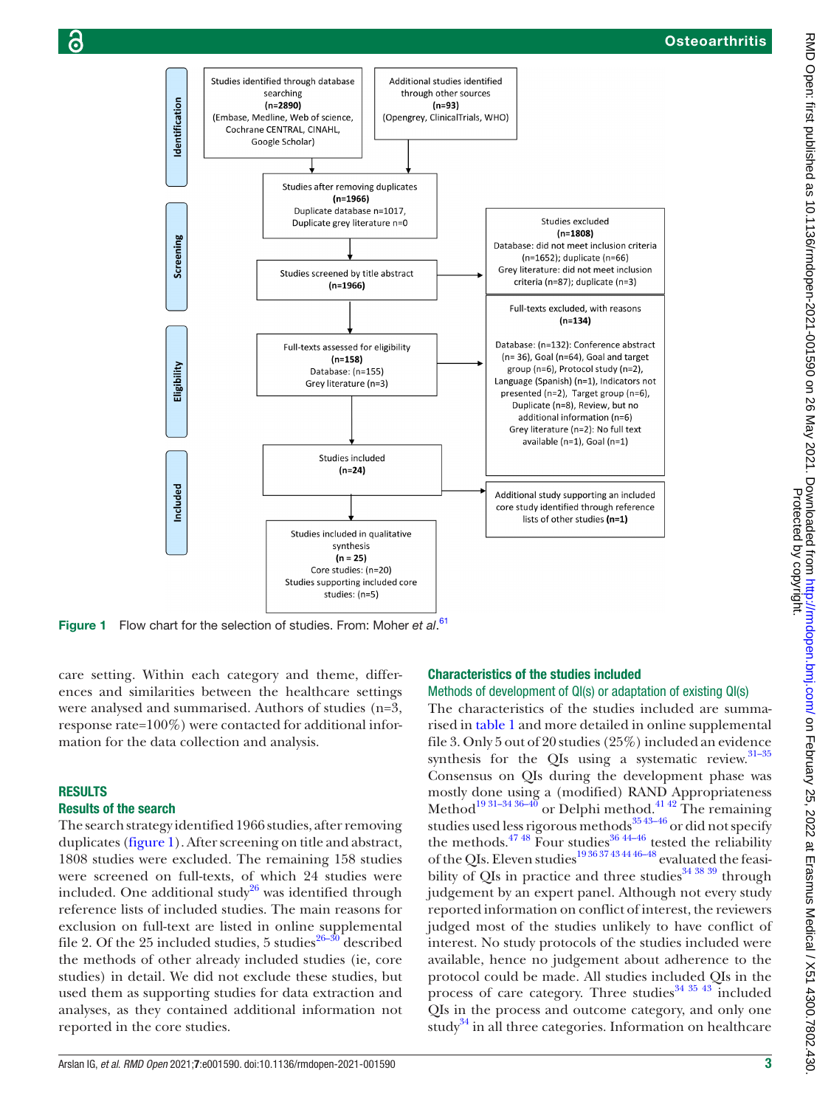

Figure 1 Flow chart for the selection of studies. From: Moher et al.<sup>[61](#page-12-7)</sup>

care setting. Within each category and theme, differences and similarities between the healthcare settings were analysed and summarised. Authors of studies (n=3, response rate=100%) were contacted for additional information for the data collection and analysis.

#### RESULTS

#### Results of the search

The search strategy identified 1966 studies, after removing duplicates [\(figure](#page-2-0) 1). After screening on title and abstract, 1808 studies were excluded. The remaining 158 studies were screened on full-texts, of which 24 studies were included. One additional study $^{26}$  was identified through reference lists of included studies. The main reasons for exclusion on full-text are listed in [online supplemental](https://dx.doi.org/10.1136/rmdopen-2021-001590) [file 2.](https://dx.doi.org/10.1136/rmdopen-2021-001590) Of the 25 included studies, 5 studies<sup>26–30</sup> described the methods of other already included studies (ie, core studies) in detail. We did not exclude these studies, but used them as supporting studies for data extraction and analyses, as they contained additional information not reported in the core studies.

#### <span id="page-2-0"></span>Characteristics of the studies included

#### Methods of development of QI(s) or adaptation of existing QI(s)

The characteristics of the studies included are summarised in [table](#page-3-0) 1 and more detailed in [online supplemental](https://dx.doi.org/10.1136/rmdopen-2021-001590) [file 3.](https://dx.doi.org/10.1136/rmdopen-2021-001590) Only 5 out of 20 studies (25%) included an evidence synthesis for the QIs using a systematic review. $31-35$ Consensus on QIs during the development phase was mostly done using a (modified) RAND Appropriateness Method<sup>19 31–34 36–40</sup> or Delphi method.<sup>[41 42](#page-12-2)</sup> The remaining studies used less rigorous methods<sup>3543–46</sup> or did not specify the methods.<sup>47</sup> <sup>48</sup> Four studies<sup>36</sup> <sup>44–46</sup> tested the reliability of the QIs. Eleven studies<sup>193637</sup> 4344 46-48</sup> evaluated the feasibility of QIs in practice and three studies $343839$  through judgement by an expert panel. Although not every study reported information on conflict of interest, the reviewers judged most of the studies unlikely to have conflict of interest. No study protocols of the studies included were available, hence no judgement about adherence to the protocol could be made. All studies included QIs in the process of care category. Three studies<sup>[34 35 43](#page-12-6)</sup> included QIs in the process and outcome category, and only one study<sup>[34](#page-12-6)</sup> in all three categories. Information on healthcare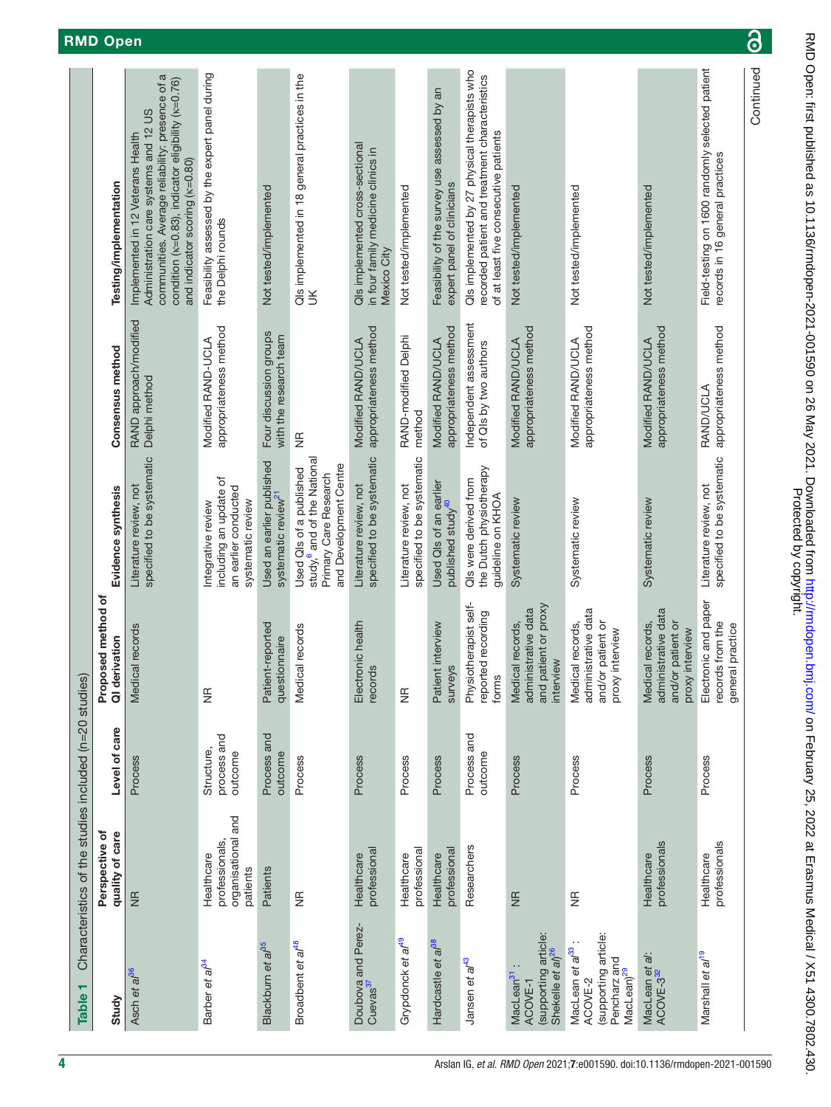<span id="page-3-0"></span>

| Field-testing on 1600 randomly selected patient<br>Qls implemented by 27 physical therapists who<br>Feasibility assessed by the expert panel during<br>QIs implemented in 18 general practices in the<br>communities. Average reliability: presence of a<br>recorded patient and treatment characteristics<br>condition (k=0.83), indicator eligibility (k=0.76)<br>Feasibility of the survey use assessed by an<br>Administration care systems and 12 US<br>of at least five consecutive patients<br>Implemented in 12 Veterans Health<br>Qls implemented cross-sectional<br>in four family medicine clinics in<br>records in 16 general practices<br>and indicator scoring (k=0.80)<br>Testing/implementation<br>expert panel of clinicians<br>Not tested/implemented<br>Not tested/implemented<br>Not tested/implemented<br>Not tested/implemented<br>Not tested/implemented<br>the Delphi rounds<br>Mexico City<br>$\leq$<br>RAND approach/modified<br>Independent assessment<br>appropriateness method<br>appropriateness method<br>appropriateness method<br>appropriateness method<br>appropriateness method<br>appropriateness method<br>appropriateness method<br>Four discussion groups<br>with the research team<br>RAND-modified Delphi<br>Modified RAND-UCLA<br>Modified RAND/UCLA<br>Modified RAND/UCLA<br>Modified RAND/UCLA<br>Modified RAND/UCLA<br>Modified RAND/UCLA<br>of QIs by two authors<br>Consensus method<br>Delphi method<br><b>RAND/UCLA</b><br>method<br>€<br>specified to be systematic<br>specified to be systematic<br>study, <sup>6</sup> and of the National<br>specified to be systematic<br>specified to be systematic<br>Used an earlier published<br>and Development Centre<br>the Dutch physiotherapy<br>Used QIs of a published<br>Primary Care Research<br>including an update of<br>QIs were derived from<br>Used QIs of an earlier<br>Literature review, not<br>Literature review, not<br>Literature review, not<br>Literature review, not<br>Evidence synthesis<br>an earlier conducted<br>systematic review <sup>21</sup><br>guideline on KHOA<br>Systematic review<br>Systematic review<br>Systematic review<br>systematic review<br>published study <sup>40</sup><br>Integrative review<br>health | Characteristics of the studies included (n=20 studies)                                                                    |  |           |  |  |
|---------------------------------------------------------------------------------------------------------------------------------------------------------------------------------------------------------------------------------------------------------------------------------------------------------------------------------------------------------------------------------------------------------------------------------------------------------------------------------------------------------------------------------------------------------------------------------------------------------------------------------------------------------------------------------------------------------------------------------------------------------------------------------------------------------------------------------------------------------------------------------------------------------------------------------------------------------------------------------------------------------------------------------------------------------------------------------------------------------------------------------------------------------------------------------------------------------------------------------------------------------------------------------------------------------------------------------------------------------------------------------------------------------------------------------------------------------------------------------------------------------------------------------------------------------------------------------------------------------------------------------------------------------------------------------------------------------------------------------------------------------------------------------------------------------------------------------------------------------------------------------------------------------------------------------------------------------------------------------------------------------------------------------------------------------------------------------------------------------------------------------------------------------------------------------------------------------------------------------------------------|---------------------------------------------------------------------------------------------------------------------------|--|-----------|--|--|
|                                                                                                                                                                                                                                                                                                                                                                                                                                                                                                                                                                                                                                                                                                                                                                                                                                                                                                                                                                                                                                                                                                                                                                                                                                                                                                                                                                                                                                                                                                                                                                                                                                                                                                                                                                                                                                                                                                                                                                                                                                                                                                                                                                                                                                                   | QI derivation<br>Proposed<br>Level of care<br>Perspective of<br>quality of care                                           |  | method of |  |  |
|                                                                                                                                                                                                                                                                                                                                                                                                                                                                                                                                                                                                                                                                                                                                                                                                                                                                                                                                                                                                                                                                                                                                                                                                                                                                                                                                                                                                                                                                                                                                                                                                                                                                                                                                                                                                                                                                                                                                                                                                                                                                                                                                                                                                                                                   | Medical records<br>Process<br>$\frac{1}{2}$                                                                               |  |           |  |  |
|                                                                                                                                                                                                                                                                                                                                                                                                                                                                                                                                                                                                                                                                                                                                                                                                                                                                                                                                                                                                                                                                                                                                                                                                                                                                                                                                                                                                                                                                                                                                                                                                                                                                                                                                                                                                                                                                                                                                                                                                                                                                                                                                                                                                                                                   | $\frac{\pi}{2}$<br>process and<br>Structure,<br>outcome<br>organisational and<br>professionals,<br>Healthcare<br>patients |  |           |  |  |
|                                                                                                                                                                                                                                                                                                                                                                                                                                                                                                                                                                                                                                                                                                                                                                                                                                                                                                                                                                                                                                                                                                                                                                                                                                                                                                                                                                                                                                                                                                                                                                                                                                                                                                                                                                                                                                                                                                                                                                                                                                                                                                                                                                                                                                                   | ported<br>questionnaire<br>Patient-rep<br>Process and<br>outcome<br>Patients                                              |  |           |  |  |
|                                                                                                                                                                                                                                                                                                                                                                                                                                                                                                                                                                                                                                                                                                                                                                                                                                                                                                                                                                                                                                                                                                                                                                                                                                                                                                                                                                                                                                                                                                                                                                                                                                                                                                                                                                                                                                                                                                                                                                                                                                                                                                                                                                                                                                                   | Medical records<br>Process<br>$\frac{\pi}{2}$                                                                             |  |           |  |  |
|                                                                                                                                                                                                                                                                                                                                                                                                                                                                                                                                                                                                                                                                                                                                                                                                                                                                                                                                                                                                                                                                                                                                                                                                                                                                                                                                                                                                                                                                                                                                                                                                                                                                                                                                                                                                                                                                                                                                                                                                                                                                                                                                                                                                                                                   | Electronic<br>records<br>Process<br>professional<br>Healthcare                                                            |  |           |  |  |
|                                                                                                                                                                                                                                                                                                                                                                                                                                                                                                                                                                                                                                                                                                                                                                                                                                                                                                                                                                                                                                                                                                                                                                                                                                                                                                                                                                                                                                                                                                                                                                                                                                                                                                                                                                                                                                                                                                                                                                                                                                                                                                                                                                                                                                                   | $\frac{\pi}{2}$<br>Process<br>professional<br>Healthcare                                                                  |  |           |  |  |
|                                                                                                                                                                                                                                                                                                                                                                                                                                                                                                                                                                                                                                                                                                                                                                                                                                                                                                                                                                                                                                                                                                                                                                                                                                                                                                                                                                                                                                                                                                                                                                                                                                                                                                                                                                                                                                                                                                                                                                                                                                                                                                                                                                                                                                                   | Patient interview<br><b>surveys</b><br>Process<br>professional<br>Healthcare                                              |  |           |  |  |
|                                                                                                                                                                                                                                                                                                                                                                                                                                                                                                                                                                                                                                                                                                                                                                                                                                                                                                                                                                                                                                                                                                                                                                                                                                                                                                                                                                                                                                                                                                                                                                                                                                                                                                                                                                                                                                                                                                                                                                                                                                                                                                                                                                                                                                                   | Physiotherapist self-<br>reported recording<br>forms<br>Process and<br>outcome<br>Researchers                             |  |           |  |  |
|                                                                                                                                                                                                                                                                                                                                                                                                                                                                                                                                                                                                                                                                                                                                                                                                                                                                                                                                                                                                                                                                                                                                                                                                                                                                                                                                                                                                                                                                                                                                                                                                                                                                                                                                                                                                                                                                                                                                                                                                                                                                                                                                                                                                                                                   | and patient or proxy<br>administrative data<br>Medical records,<br>interview<br>Process<br>$\frac{1}{2}$                  |  |           |  |  |
|                                                                                                                                                                                                                                                                                                                                                                                                                                                                                                                                                                                                                                                                                                                                                                                                                                                                                                                                                                                                                                                                                                                                                                                                                                                                                                                                                                                                                                                                                                                                                                                                                                                                                                                                                                                                                                                                                                                                                                                                                                                                                                                                                                                                                                                   | administrative data<br>and/or patient or<br>Medical records,<br>proxy interview<br>Process<br>$\frac{\pi}{2}$             |  |           |  |  |
|                                                                                                                                                                                                                                                                                                                                                                                                                                                                                                                                                                                                                                                                                                                                                                                                                                                                                                                                                                                                                                                                                                                                                                                                                                                                                                                                                                                                                                                                                                                                                                                                                                                                                                                                                                                                                                                                                                                                                                                                                                                                                                                                                                                                                                                   | administrative data<br>and/or patient or<br>Medical records,<br>proxy interview<br>Process<br>professionals<br>Healthcare |  |           |  |  |
|                                                                                                                                                                                                                                                                                                                                                                                                                                                                                                                                                                                                                                                                                                                                                                                                                                                                                                                                                                                                                                                                                                                                                                                                                                                                                                                                                                                                                                                                                                                                                                                                                                                                                                                                                                                                                                                                                                                                                                                                                                                                                                                                                                                                                                                   | Electronic and paper<br>records from the<br>general practice<br>Process<br>professionals<br>Healthcare                    |  |           |  |  |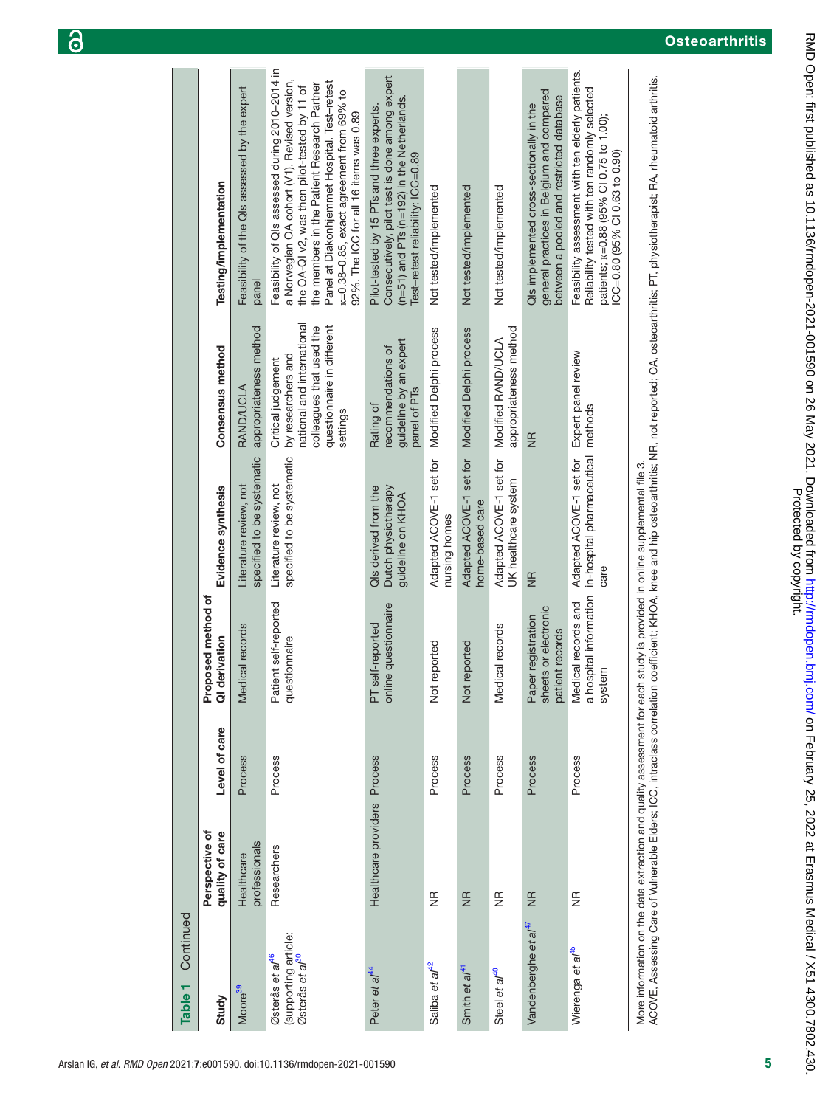| Continued<br>Table <sub>1</sub>                                                    |                                   |               |                                                               |                                                                                                                          |                                                                                                                                              |                                                                                                                                                                                                                                                                                                                                      |
|------------------------------------------------------------------------------------|-----------------------------------|---------------|---------------------------------------------------------------|--------------------------------------------------------------------------------------------------------------------------|----------------------------------------------------------------------------------------------------------------------------------------------|--------------------------------------------------------------------------------------------------------------------------------------------------------------------------------------------------------------------------------------------------------------------------------------------------------------------------------------|
| Study                                                                              | Perspective of<br>quality of care | Level of care | Proposed method of<br>derivation<br>$\overline{\sigma}$       | Evidence synthesis                                                                                                       | Consensus method                                                                                                                             | Testing/implementation                                                                                                                                                                                                                                                                                                               |
| Moore <sup>39</sup>                                                                | professionals<br>Healthcare       | Process       | Medical records                                               | specified to be systematic<br>Literature review, not                                                                     | appropriateness method<br><b>RAND/UCLA</b>                                                                                                   | Feasibility of the QIs assessed by the expert<br>panel                                                                                                                                                                                                                                                                               |
| (supporting article:<br>Østerås et al <sup>30</sup><br>Østerås et al <sup>46</sup> | Researchers                       | Process       | Patient self-reported<br>questionnaire                        | specified to be systematic<br>Literature review, not                                                                     | national and international<br>colleagues that used the<br>questionnaire in different<br>by researchers and<br>Critical judgement<br>settings | Feasibility of QIs assessed during 2010-2014 in<br>a Norwegian OA cohort (V1). Revised version,<br>Panel at Diakonhjemmet Hospital. Test-retest<br>the members in the Patient Research Partner<br>the OA-QI v2, was then pilot-tested by 11 of<br>K=0.38-0.85, exact agreement from 69% to<br>92%. The ICC for all 16 items was 0.89 |
| Peter et al <sup>44</sup>                                                          | Healthcare providers Process      |               | online questionnaire<br>PT self-reported                      | Dutch physiotherapy<br>QIs derived from the<br>guideline on KHOA                                                         | guideline by an expert<br>recommendations of<br>panel of PT <sub>S</sub><br>Rating of                                                        | Consecutively, pilot test is done among expert<br>$(n=51)$ and PTs $(n=192)$ in the Netherlands.<br>Pilot-tested by 15 PTs and three experts.<br>Test-retest reliability: ICC=0.89                                                                                                                                                   |
| Saliba et al <sup>42</sup>                                                         | $\frac{\alpha}{2}$                | Process       | Not reported                                                  | Adapted ACOVE-1 set for Modified Delphi process<br>nursing homes                                                         |                                                                                                                                              | Not tested/implemented                                                                                                                                                                                                                                                                                                               |
| Smith et al <sup>41</sup>                                                          | $\frac{1}{2}$                     | Process       | Not reported                                                  | Adapted ACOVE-1 set for<br>home-based care                                                                               | Modified Delphi process                                                                                                                      | Not tested/implemented                                                                                                                                                                                                                                                                                                               |
| Steel et al <sup>40</sup>                                                          | $\widetilde{\Xi}$                 | Process       | Medical records                                               | Adapted ACOVE-1 set for<br>UK healthcare system                                                                          | appropriateness method<br>Modified RAND/UCLA                                                                                                 | Not tested/implemented                                                                                                                                                                                                                                                                                                               |
| Vandenberghe et al <sup>47</sup>                                                   | $\frac{1}{2}$                     | Process       | sheets or electronic<br>Paper registration<br>patient records | $rac{1}{2}$                                                                                                              | $\frac{1}{2}$                                                                                                                                | general practices in Belgium and compared<br>between a pooled and restricted database<br>Qls implemented cross-sectionally in the                                                                                                                                                                                                    |
| Wierenga et al <sup>45</sup>                                                       | $\frac{\alpha}{2}$                | Process       | a hospital information<br>Medical records and<br>system       | in-hospital pharmaceutical<br>Adapted ACOVE-1 set for<br>care                                                            | Expert panel review<br>methods                                                                                                               | Feasibility assessment with ten elderly patients.<br>Reliability tested with ten randomly selected<br>patients; k=0.88 (95% CI 0.75 to 1.00);<br>ICC=0.80 (95% CI 0.63 to 0.90)                                                                                                                                                      |
|                                                                                    |                                   |               |                                                               | More information on the data extraction and quality assessment for each study is provided in online supplemental file 3. |                                                                                                                                              | ACOVE, Assessing Care of Vulnerable Elders; ICC, intraclass correlation coefficient; KHOA, knee and hip osteoarthritis; NR, not reported; OA, osteoarthritis; PT, physiotherapist; RA, rheumatoid arthritis.                                                                                                                         |

**Contract**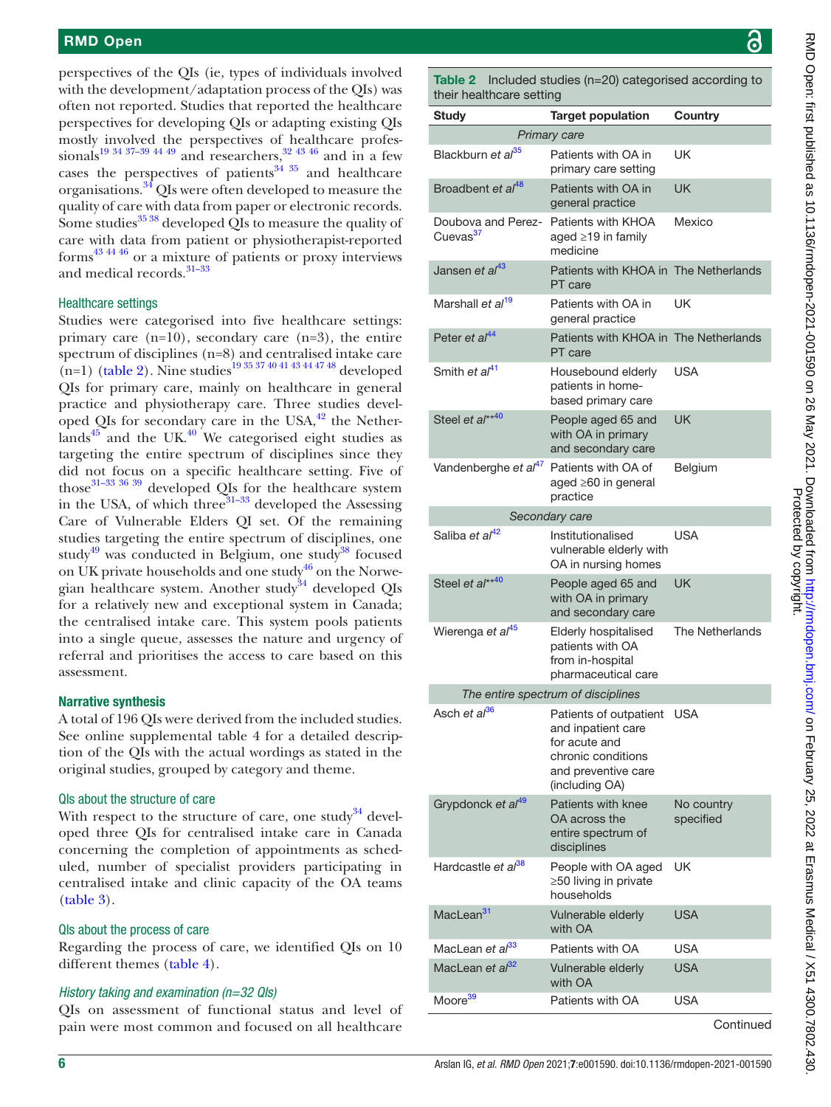perspectives of the QIs (ie, types of individuals involved with the development/adaptation process of the QIs) was often not reported. Studies that reported the healthcare perspectives for developing QIs or adapting existing QIs mostly involved the perspectives of healthcare profes-sionals<sup>19 34 37–39 44 49</sup> and researchers,<sup>[32 43 46](#page-12-16)</sup> and in a few cases the perspectives of patients $34 \times 35$  and healthcare organisations.[34](#page-12-6) QIs were often developed to measure the quality of care with data from paper or electronic records. Some studies $3538$  developed QIs to measure the quality of care with data from patient or physiotherapist-reported forms[43 44 46](#page-12-13) or a mixture of patients or proxy interviews and medical records.<sup>31-33</sup>

#### Healthcare settings

Studies were categorised into five healthcare settings: primary care (n=10), secondary care (n=3), the entire spectrum of disciplines (n=8) and centralised intake care  $(n=1)$  [\(table](#page-5-0) 2). Nine studies<sup>19 35 37 40 41 43 44 47 48</sup> developed QIs for primary care, mainly on healthcare in general practice and physiotherapy care. Three studies developed QIs for secondary care in the USA, $42$  the Nether- $\text{lands}^{45}$  and the UK.<sup>40</sup> We categorised eight studies as targeting the entire spectrum of disciplines since they did not focus on a specific healthcare setting. Five of those[31–33 36 39](#page-12-1) developed QIs for the healthcare system in the USA, of which three<sup>[31–33](#page-12-1)</sup> developed the Assessing Care of Vulnerable Elders QI set. Of the remaining studies targeting the entire spectrum of disciplines, one study<sup>[49](#page-12-10)</sup> was conducted in Belgium, one study<sup>38</sup> focused on UK private households and one study<sup>46</sup> on the Norwe-gian healthcare system. Another study<sup>[34](#page-12-6)</sup> developed QIs for a relatively new and exceptional system in Canada; the centralised intake care. This system pools patients into a single queue, assesses the nature and urgency of referral and prioritises the access to care based on this assessment.

#### Narrative synthesis

A total of 196 QIs were derived from the included studies. See [online supplemental table 4](https://dx.doi.org/10.1136/rmdopen-2021-001590) for a detailed description of the QIs with the actual wordings as stated in the original studies, grouped by category and theme.

#### QIs about the structure of care

With respect to the structure of care, one study<sup>34</sup> developed three QIs for centralised intake care in Canada concerning the completion of appointments as scheduled, number of specialist providers participating in centralised intake and clinic capacity of the OA teams [\(table](#page-6-0) 3).

#### QIs about the process of care

Regarding the process of care, we identified QIs on 10 different themes [\(table](#page-7-0) 4).

#### *History taking and examination (n=32 QIs)*

QIs on assessment of functional status and level of pain were most common and focused on all healthcare

<span id="page-5-0"></span>Table 2 Included studies (n=20) categorised according to their healthcare setting

| Study                                      | שי יי<br><b>Target population</b>                                                                                            | Country                 |
|--------------------------------------------|------------------------------------------------------------------------------------------------------------------------------|-------------------------|
|                                            | Primary care                                                                                                                 |                         |
| Blackburn et al <sup>35</sup>              | Patients with OA in<br>primary care setting                                                                                  | UK                      |
| Broadbent et al <sup>48</sup>              | Patients with OA in<br>general practice                                                                                      | <b>UK</b>               |
| Doubova and Perez-<br>Cuevas <sup>37</sup> | Patients with KHOA<br>aged $\geq$ 19 in family<br>medicine                                                                   | Mexico                  |
| Jansen et al <sup>43</sup>                 | Patients with KHOA in The Netherlands<br>PT care                                                                             |                         |
| Marshall et al <sup>19</sup>               | Patients with OA in<br>general practice                                                                                      | UK                      |
| Peter et al <sup>44</sup>                  | Patients with KHOA in The Netherlands<br>PT care                                                                             |                         |
| Smith et al <sup>41</sup>                  | Housebound elderly<br>patients in home-<br>based primary care                                                                | USA                     |
| Steel et al**40                            | People aged 65 and<br>with OA in primary<br>and secondary care                                                               | <b>UK</b>               |
| Vandenberghe et al <sup>47</sup>           | Patients with OA of<br>aged ≥60 in general<br>practice                                                                       | Belgium                 |
|                                            | Secondary care                                                                                                               |                         |
| Saliba et al <sup>42</sup>                 | Institutionalised<br>vulnerable elderly with<br>OA in nursing homes                                                          | <b>USA</b>              |
| Steel et al**40                            | People aged 65 and<br>with OA in primary<br>and secondary care                                                               | UK                      |
| Wierenga et al <sup>45</sup>               | Elderly hospitalised<br>patients with OA<br>from in-hospital<br>pharmaceutical care                                          | The Netherlands         |
|                                            | The entire spectrum of disciplines                                                                                           |                         |
| Asch et al <sup>36</sup>                   | Patients of outpatient<br>and inpatient care<br>for acute and<br>chronic conditions<br>and preventive care<br>(including OA) | USA                     |
| Grypdonck et al <sup>49</sup>              | Patients with knee<br>OA across the<br>entire spectrum of<br>disciplines                                                     | No country<br>specified |
| Hardcastle et al <sup>38</sup>             | People with OA aged<br>$\geq$ 50 living in private<br>households                                                             | UK                      |
| MacLean <sup>31</sup>                      | Vulnerable elderly<br>with OA                                                                                                | USA                     |
| MacLean et al <sup>33</sup>                | Patients with OA                                                                                                             | USA                     |
| MacLean et al <sup>32</sup>                | Vulnerable elderly<br>with OA                                                                                                | <b>USA</b>              |
| Moore <sup>39</sup>                        | Patients with OA                                                                                                             | USA                     |
|                                            |                                                                                                                              | Continued               |

RMD Open: first published as 10.1136/rmdopen-2021-001590 on 26 May 2021. Downloaded from http://rmdopen.bmj.com/ on February 25, 2022 at Erasmus Medical / X51 4300.7802.430<br>Protective Protect published as 10.1136/rmdopen-2 RMD Open: tirst published as 10.1136/rmdopen-2021-001590 on 26 May 2021. Downloaded from <http://rmdopen.bmj.com/> on February 25, 2022 at Erasmus Medical / X51 4300.7802.430. Protected by copyright.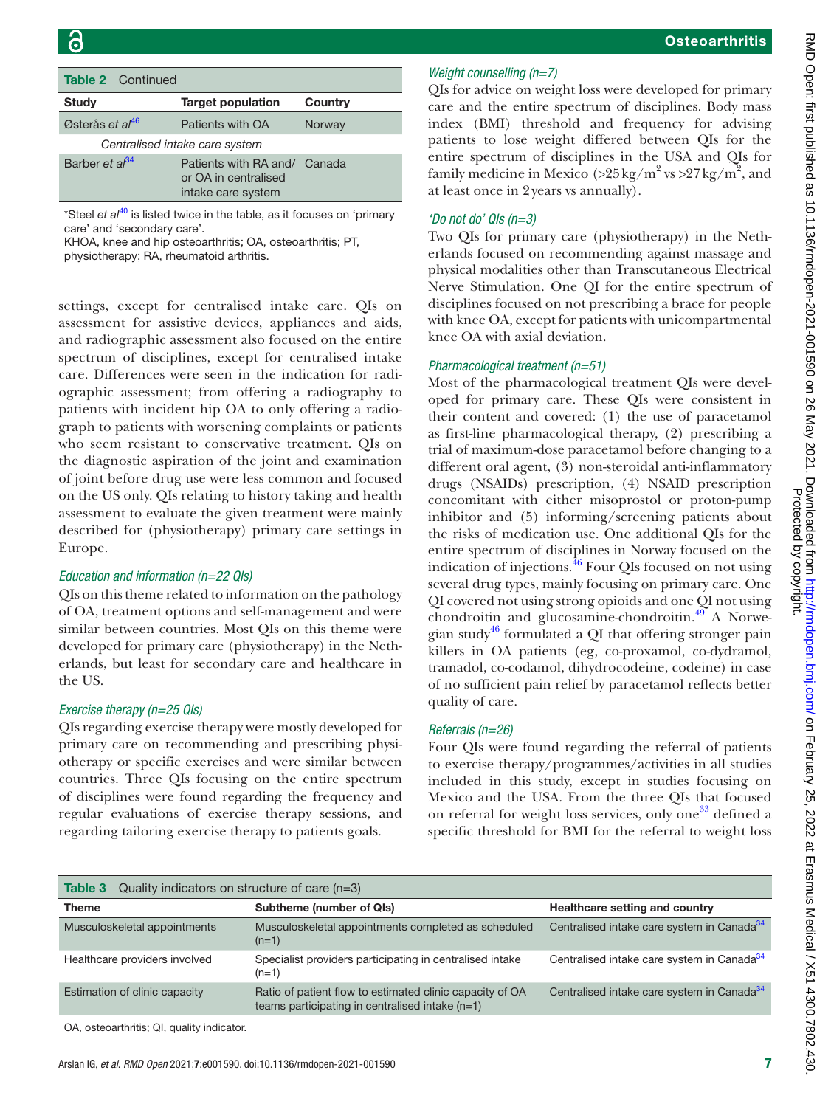| <b>Table 2</b> Continued   |                                                                            |         |
|----------------------------|----------------------------------------------------------------------------|---------|
| <b>Study</b>               | <b>Target population</b>                                                   | Country |
| Østerås et al $46$         | Patients with OA                                                           | Norway  |
|                            | Centralised intake care system                                             |         |
| Barber et al <sup>34</sup> | Patients with RA and/ Canada<br>or OA in centralised<br>intake care system |         |

\*Steel *et al<sup>40</sup>* is listed twice in the table, as it focuses on 'primary care' and 'secondary care'.

KHOA, knee and hip osteoarthritis; OA, osteoarthritis; PT,

physiotherapy; RA, rheumatoid arthritis.

settings, except for centralised intake care. QIs on assessment for assistive devices, appliances and aids, and radiographic assessment also focused on the entire spectrum of disciplines, except for centralised intake care. Differences were seen in the indication for radiographic assessment; from offering a radiography to patients with incident hip OA to only offering a radiograph to patients with worsening complaints or patients who seem resistant to conservative treatment. QIs on the diagnostic aspiration of the joint and examination of joint before drug use were less common and focused on the US only. QIs relating to history taking and health assessment to evaluate the given treatment were mainly described for (physiotherapy) primary care settings in Europe.

#### *Education and information (n=22 QIs)*

QIs on this theme related to information on the pathology of OA, treatment options and self-management and were similar between countries. Most QIs on this theme were developed for primary care (physiotherapy) in the Netherlands, but least for secondary care and healthcare in the US.

#### *Exercise therapy (n=25 QIs)*

QIs regarding exercise therapy were mostly developed for primary care on recommending and prescribing physiotherapy or specific exercises and were similar between countries. Three QIs focusing on the entire spectrum of disciplines were found regarding the frequency and regular evaluations of exercise therapy sessions, and regarding tailoring exercise therapy to patients goals.

#### *Weight counselling (n=7)*

QIs for advice on weight loss were developed for primary care and the entire spectrum of disciplines. Body mass index (BMI) threshold and frequency for advising patients to lose weight differed between QIs for the entire spectrum of disciplines in the USA and QIs for family medicine in Mexico (> $25 \text{ kg/m}^2$  vs > $27 \text{ kg/m}^2$ , and at least once in 2years vs annually).

#### *'Do not do' QIs (n=3)*

Two QIs for primary care (physiotherapy) in the Netherlands focused on recommending against massage and physical modalities other than Transcutaneous Electrical Nerve Stimulation. One QI for the entire spectrum of disciplines focused on not prescribing a brace for people with knee OA, except for patients with unicompartmental knee OA with axial deviation.

#### *Pharmacological treatment (n=51)*

Most of the pharmacological treatment QIs were developed for primary care. These QIs were consistent in their content and covered: (1) the use of paracetamol as first-line pharmacological therapy, (2) prescribing a trial of maximum-dose paracetamol before changing to a different oral agent, (3) non-steroidal anti-inflammatory drugs (NSAIDs) prescription, (4) NSAID prescription concomitant with either misoprostol or proton-pump inhibitor and (5) informing/screening patients about the risks of medication use. One additional QIs for the entire spectrum of disciplines in Norway focused on the indication of injections. $^{46}$  $^{46}$  $^{46}$  Four QIs focused on not using several drug types, mainly focusing on primary care. One QI covered not using strong opioids and one QI not using chondroitin and glucosamine-chondroitin.<sup>[49](#page-12-10)</sup> A Norwe-gian study<sup>[46](#page-12-18)</sup> formulated a QI that offering stronger pain killers in OA patients (eg, co-proxamol, co-dydramol, tramadol, co-codamol, dihydrocodeine, codeine) in case of no sufficient pain relief by paracetamol reflects better quality of care.

#### *Referrals (n=26)*

Four QIs were found regarding the referral of patients to exercise therapy/programmes/activities in all studies included in this study, except in studies focusing on Mexico and the USA. From the three QIs that focused on referral for weight loss services, only one<sup>[33](#page-12-14)</sup> defined a specific threshold for BMI for the referral to weight loss

<span id="page-6-0"></span>

| Quality indicators on structure of care $(n=3)$<br>Table 3 |                                                                                                             |                                                        |  |  |
|------------------------------------------------------------|-------------------------------------------------------------------------------------------------------------|--------------------------------------------------------|--|--|
| Theme                                                      | Subtheme (number of QIs)                                                                                    | Healthcare setting and country                         |  |  |
| Musculoskeletal appointments                               | Musculoskeletal appointments completed as scheduled<br>$(n=1)$                                              | Centralised intake care system in Canada <sup>34</sup> |  |  |
| Healthcare providers involved                              | Specialist providers participating in centralised intake<br>$(n=1)$                                         | Centralised intake care system in Canada <sup>34</sup> |  |  |
| Estimation of clinic capacity                              | Ratio of patient flow to estimated clinic capacity of OA<br>teams participating in centralised intake (n=1) | Centralised intake care system in Canada <sup>34</sup> |  |  |
|                                                            |                                                                                                             |                                                        |  |  |

OA, osteoarthritis; QI, quality indicator.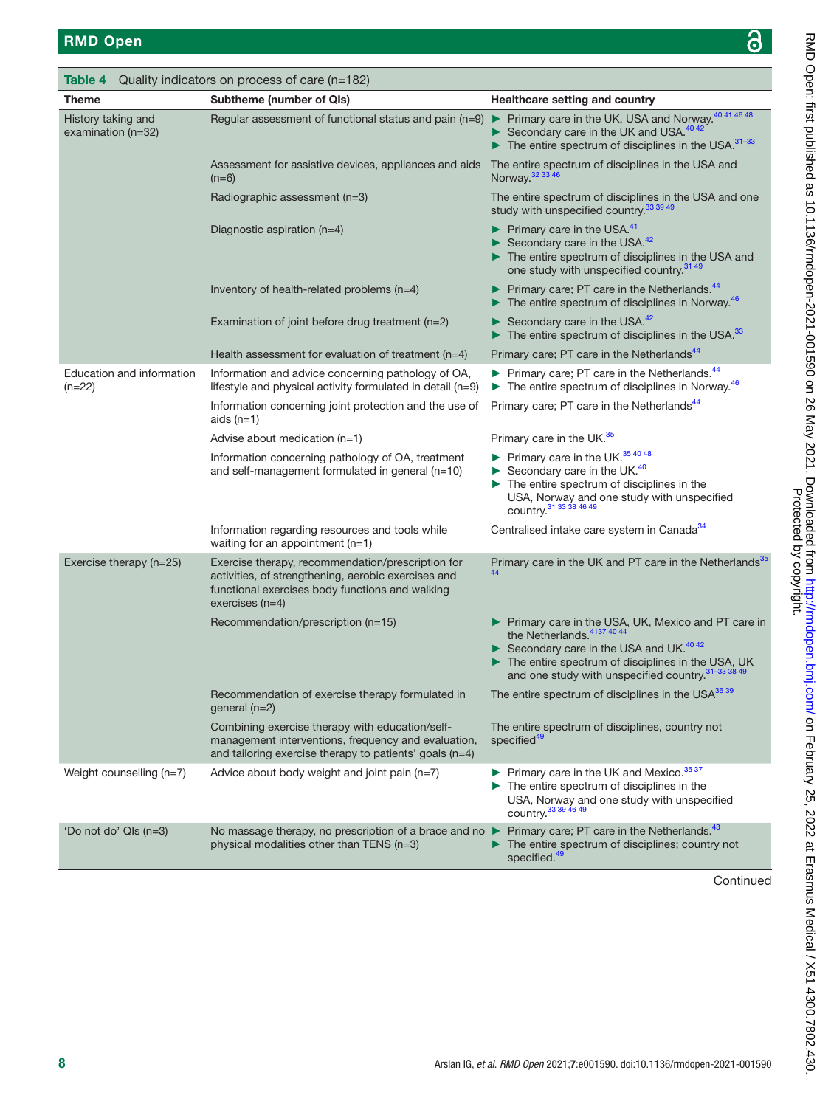<span id="page-7-0"></span>

| Table 4                                    | Quality indicators on process of care (n=182)                                                                                                                                    |                                                                                                                                                                                                                                                          |
|--------------------------------------------|----------------------------------------------------------------------------------------------------------------------------------------------------------------------------------|----------------------------------------------------------------------------------------------------------------------------------------------------------------------------------------------------------------------------------------------------------|
| <b>Theme</b>                               | <b>Subtheme (number of QIs)</b>                                                                                                                                                  | <b>Healthcare setting and country</b>                                                                                                                                                                                                                    |
| History taking and<br>examination $(n=32)$ | Regular assessment of functional status and pain (n=9)                                                                                                                           | ▶ Primary care in the UK, USA and Norway. <sup>40 41 46 48</sup><br>Secondary care in the UK and USA. $4042$<br>$\blacktriangleright$ The entire spectrum of disciplines in the USA. <sup>31-33</sup>                                                    |
|                                            | Assessment for assistive devices, appliances and aids<br>$(n=6)$                                                                                                                 | The entire spectrum of disciplines in the USA and<br>Norway. 32 33 46                                                                                                                                                                                    |
|                                            | Radiographic assessment (n=3)                                                                                                                                                    | The entire spectrum of disciplines in the USA and one<br>study with unspecified country. <sup>33</sup> 39 49                                                                                                                                             |
|                                            | Diagnostic aspiration $(n=4)$                                                                                                                                                    | $\blacktriangleright$ Primary care in the USA. <sup>41</sup><br>Secondary care in the USA. $42$<br>The entire spectrum of disciplines in the USA and<br>one study with unspecified country. <sup>31 49</sup>                                             |
|                                            | Inventory of health-related problems (n=4)                                                                                                                                       | $\blacktriangleright$ Primary care; PT care in the Netherlands. <sup>44</sup><br>$\blacktriangleright$ The entire spectrum of disciplines in Norway. <sup>46</sup>                                                                                       |
|                                            | Examination of joint before drug treatment (n=2)                                                                                                                                 | Secondary care in the USA. <sup>42</sup><br>$\blacktriangleright$ The entire spectrum of disciplines in the USA. <sup>33</sup>                                                                                                                           |
|                                            | Health assessment for evaluation of treatment $(n=4)$                                                                                                                            | Primary care; PT care in the Netherlands <sup>44</sup>                                                                                                                                                                                                   |
| Education and information<br>$(n=22)$      | Information and advice concerning pathology of OA,<br>lifestyle and physical activity formulated in detail (n=9)                                                                 | Primary care; PT care in the Netherlands. <sup>44</sup><br>$\blacktriangleright$ The entire spectrum of disciplines in Norway. <sup>46</sup>                                                                                                             |
|                                            | Information concerning joint protection and the use of<br>aids $(n=1)$                                                                                                           | Primary care; PT care in the Netherlands <sup>44</sup>                                                                                                                                                                                                   |
|                                            | Advise about medication (n=1)                                                                                                                                                    | Primary care in the UK. <sup>35</sup>                                                                                                                                                                                                                    |
|                                            | Information concerning pathology of OA, treatment<br>and self-management formulated in general (n=10)                                                                            | $\blacktriangleright$ Primary care in the UK. <sup>35 40 48</sup><br>Secondary care in the UK. <sup>40</sup><br>$\blacktriangleright$ The entire spectrum of disciplines in the<br>USA, Norway and one study with unspecified<br>COUNTry. 31 33 38 46 49 |
|                                            | Information regarding resources and tools while<br>waiting for an appointment $(n=1)$                                                                                            | Centralised intake care system in Canada <sup>34</sup>                                                                                                                                                                                                   |
| Exercise therapy (n=25)                    | Exercise therapy, recommendation/prescription for<br>activities, of strengthening, aerobic exercises and<br>functional exercises body functions and walking<br>$exercises (n=4)$ | Primary care in the UK and PT care in the Netherlands <sup>35</sup>                                                                                                                                                                                      |
|                                            | Recommendation/prescription (n=15)                                                                                                                                               | Primary care in the USA, UK, Mexico and PT care in<br>the Netherlands. 4137 40 44<br>Secondary care in the USA and UK. <sup>40 42</sup><br>The entire spectrum of disciplines in the USA, UK<br>and one study with unspecified country. 31-33 38 49      |
|                                            | Recommendation of exercise therapy formulated in<br>general (n=2)                                                                                                                | The entire spectrum of disciplines in the USA <sup>36 39</sup>                                                                                                                                                                                           |
|                                            | Combining exercise therapy with education/self-<br>management interventions, frequency and evaluation,<br>and tailoring exercise therapy to patients' goals (n=4)                | The entire spectrum of disciplines, country not<br>specified <sup>49</sup>                                                                                                                                                                               |
| Weight counselling (n=7)                   | Advice about body weight and joint pain (n=7)                                                                                                                                    | $\triangleright$ Primary care in the UK and Mexico. <sup>35 37</sup><br>$\blacktriangleright$ The entire spectrum of disciplines in the<br>USA, Norway and one study with unspecified<br>country. <sup>33</sup> 39 46 49                                 |
| 'Do not do' QIs (n=3)                      | No massage therapy, no prescription of a brace and no<br>physical modalities other than TENS (n=3)                                                                               | Primary care; PT care in the Netherlands. <sup>43</sup><br>The entire spectrum of disciplines; country not<br>specified. <sup>49</sup>                                                                                                                   |

Continued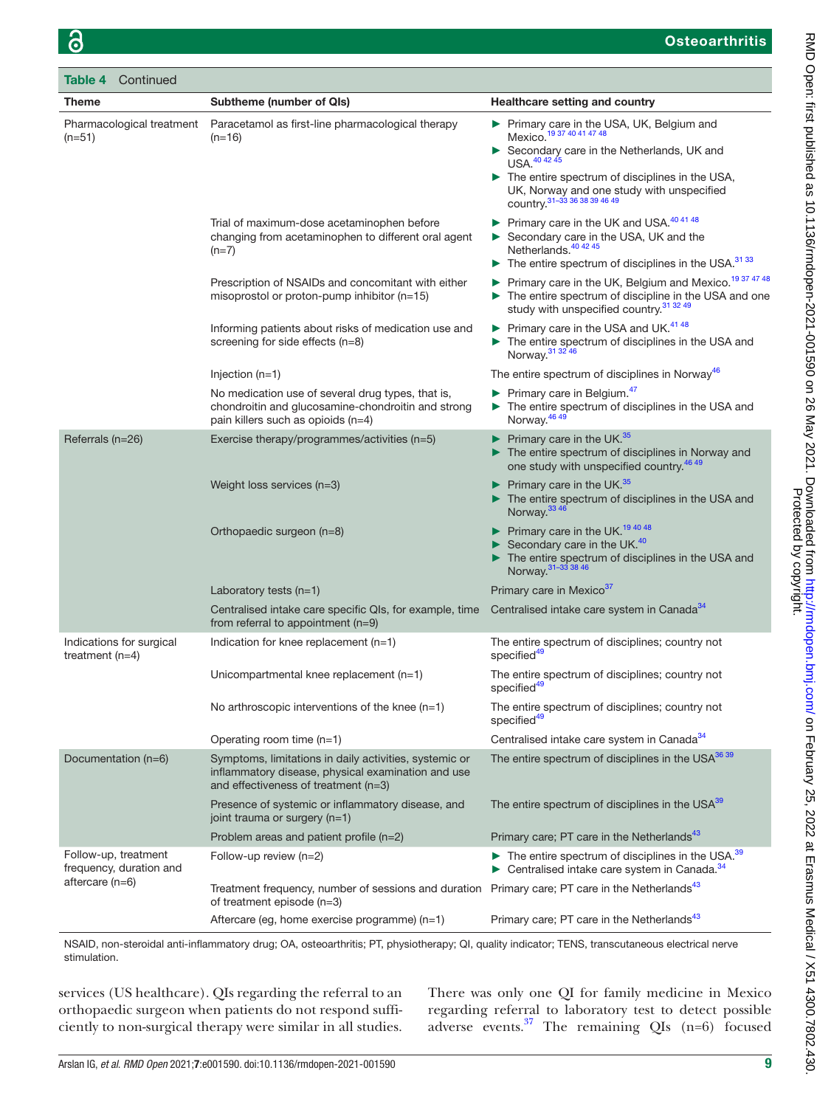| Table 4           | Continued                                       |                                                                                                                                                      |                                                                                                                                                                                                                                                                                                         |
|-------------------|-------------------------------------------------|------------------------------------------------------------------------------------------------------------------------------------------------------|---------------------------------------------------------------------------------------------------------------------------------------------------------------------------------------------------------------------------------------------------------------------------------------------------------|
| <b>Theme</b>      |                                                 | <b>Subtheme (number of QIs)</b>                                                                                                                      | <b>Healthcare setting and country</b>                                                                                                                                                                                                                                                                   |
| $(n=51)$          | Pharmacological treatment                       | Paracetamol as first-line pharmacological therapy<br>$(n=16)$                                                                                        | Primary care in the USA, UK, Belgium and<br>Mexico. <sup>19 37</sup> 40 41 47 48<br>Secondary care in the Netherlands, UK and<br>USA. <sup>40 42 45</sup><br>$\triangleright$ The entire spectrum of disciplines in the USA,<br>UK, Norway and one study with unspecified<br>country. $31-333638394649$ |
|                   |                                                 | Trial of maximum-dose acetaminophen before<br>changing from acetaminophen to different oral agent<br>$(n=7)$                                         | Primary care in the UK and USA. <sup>40 41 48</sup><br>Secondary care in the USA, UK and the<br>Netherlands. <sup>40 42 45</sup><br>$\triangleright$ The entire spectrum of disciplines in the USA. <sup>31 33</sup>                                                                                    |
|                   |                                                 | Prescription of NSAIDs and concomitant with either<br>misoprostol or proton-pump inhibitor $(n=15)$                                                  | Primary care in the UK, Belgium and Mexico. <sup>19 37 47 48</sup><br>The entire spectrum of discipline in the USA and one<br>study with unspecified country. <sup>31</sup> 32 49                                                                                                                       |
|                   |                                                 | Informing patients about risks of medication use and<br>screening for side effects $(n=8)$                                                           | Primary care in the USA and UK. <sup>41 48</sup><br>The entire spectrum of disciplines in the USA and<br>Norway. <sup>31</sup> 32 46                                                                                                                                                                    |
|                   |                                                 | Injection $(n=1)$                                                                                                                                    | The entire spectrum of disciplines in Norway <sup>46</sup>                                                                                                                                                                                                                                              |
|                   |                                                 | No medication use of several drug types, that is,<br>chondroitin and glucosamine-chondroitin and strong<br>pain killers such as opioids $(n=4)$      | Primary care in Belgium. <sup>47</sup><br>The entire spectrum of disciplines in the USA and<br>Norway. <sup>46</sup> 49                                                                                                                                                                                 |
| Referrals (n=26)  |                                                 | Exercise therapy/programmes/activities (n=5)                                                                                                         | Primary care in the UK. <sup>35</sup><br>The entire spectrum of disciplines in Norway and<br>one study with unspecified country. <sup>46 49</sup>                                                                                                                                                       |
|                   |                                                 | Weight loss services (n=3)                                                                                                                           | Primary care in the UK. <sup>35</sup><br>The entire spectrum of disciplines in the USA and<br>Norway. <sup>33 46</sup>                                                                                                                                                                                  |
|                   |                                                 | Orthopaedic surgeon (n=8)                                                                                                                            | Primary care in the UK. <sup>194048</sup><br>Secondary care in the UK. <sup>40</sup><br>The entire spectrum of disciplines in the USA and<br>Norway. 31-33 38 46                                                                                                                                        |
|                   |                                                 | Laboratory tests $(n=1)$                                                                                                                             | Primary care in Mexico <sup>37</sup>                                                                                                                                                                                                                                                                    |
|                   |                                                 | Centralised intake care specific QIs, for example, time<br>from referral to appointment $(n=9)$                                                      | Centralised intake care system in Canada <sup>34</sup>                                                                                                                                                                                                                                                  |
| treatment $(n=4)$ | Indications for surgical                        | Indication for knee replacement $(n=1)$                                                                                                              | The entire spectrum of disciplines; country not<br>specified <sup>49</sup>                                                                                                                                                                                                                              |
|                   |                                                 | Unicompartmental knee replacement (n=1)                                                                                                              | The entire spectrum of disciplines; country not<br>specified <sup>49</sup>                                                                                                                                                                                                                              |
|                   |                                                 | No arthroscopic interventions of the knee $(n=1)$                                                                                                    | The entire spectrum of disciplines; country not<br>specified <sup>49</sup>                                                                                                                                                                                                                              |
|                   |                                                 | Operating room time $(n=1)$                                                                                                                          | Centralised intake care system in Canada <sup>34</sup>                                                                                                                                                                                                                                                  |
|                   | Documentation (n=6)                             | Symptoms, limitations in daily activities, systemic or<br>inflammatory disease, physical examination and use<br>and effectiveness of treatment (n=3) | The entire spectrum of disciplines in the USA <sup>36 39</sup>                                                                                                                                                                                                                                          |
|                   |                                                 | Presence of systemic or inflammatory disease, and<br>joint trauma or surgery (n=1)                                                                   | The entire spectrum of disciplines in the USA <sup>39</sup>                                                                                                                                                                                                                                             |
|                   |                                                 | Problem areas and patient profile $(n=2)$                                                                                                            | Primary care; PT care in the Netherlands <sup>43</sup>                                                                                                                                                                                                                                                  |
|                   | Follow-up, treatment<br>frequency, duration and | Follow-up review $(n=2)$                                                                                                                             | $\triangleright$ The entire spectrum of disciplines in the USA. <sup>39</sup><br>Centralised intake care system in Canada. <sup>34</sup>                                                                                                                                                                |
| aftercare (n=6)   |                                                 | Treatment frequency, number of sessions and duration Primary care; PT care in the Netherlands <sup>43</sup><br>of treatment episode (n=3)            |                                                                                                                                                                                                                                                                                                         |
|                   |                                                 | Aftercare (eg, home exercise programme) (n=1)                                                                                                        | Primary care; PT care in the Netherlands <sup>43</sup>                                                                                                                                                                                                                                                  |
|                   |                                                 |                                                                                                                                                      |                                                                                                                                                                                                                                                                                                         |

NSAID, non-steroidal anti-inflammatory drug; OA, osteoarthritis; PT, physiotherapy; QI, quality indicator; TENS, transcutaneous electrical nerve stimulation.

services (US healthcare). QIs regarding the referral to an orthopaedic surgeon when patients do not respond sufficiently to non-surgical therapy were similar in all studies.

There was only one QI for family medicine in Mexico regarding referral to laboratory test to detect possible adverse events. $37$  The remaining QIs (n=6) focused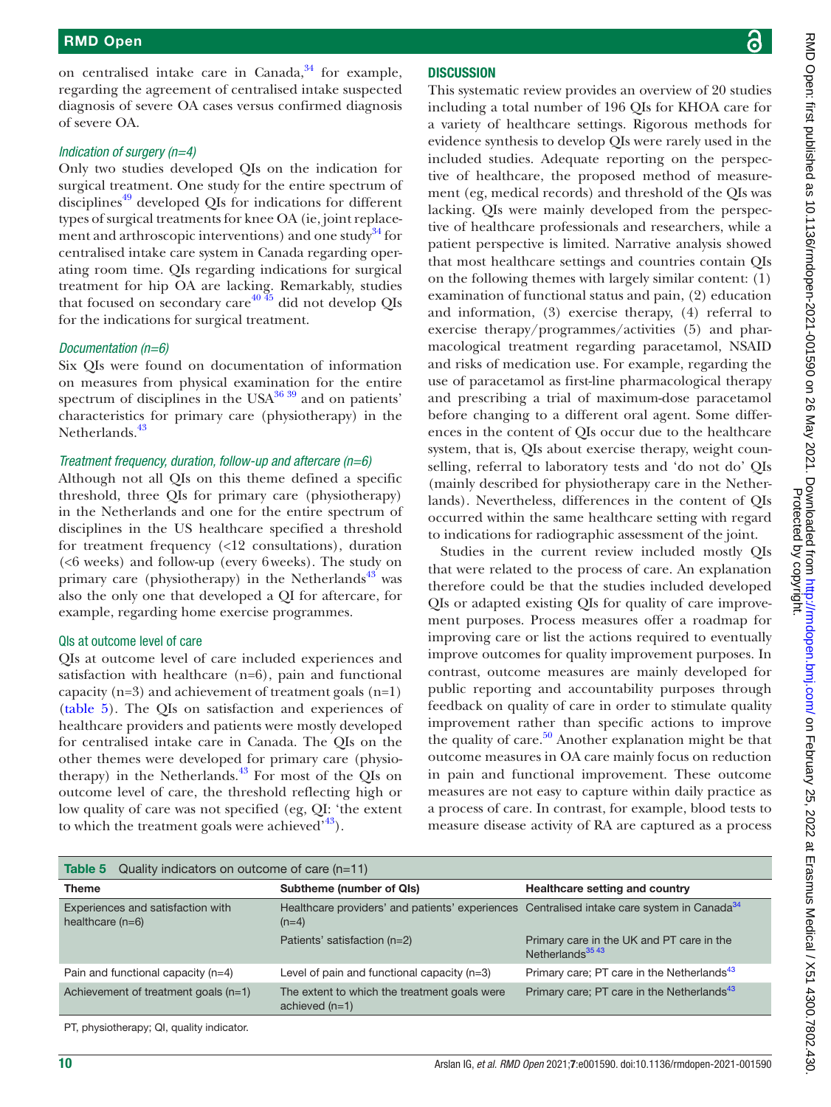on centralised intake care in Canada, $34$  for example, regarding the agreement of centralised intake suspected diagnosis of severe OA cases versus confirmed diagnosis of severe OA.

#### *Indication of surgery (n=4)*

Only two studies developed QIs on the indication for surgical treatment. One study for the entire spectrum of disciplines<sup>[49](#page-12-10)</sup> developed QIs for indications for different types of surgical treatments for knee OA (ie, joint replace-ment and arthroscopic interventions) and one study<sup>[34](#page-12-6)</sup> for centralised intake care system in Canada regarding operating room time. QIs regarding indications for surgical treatment for hip OA are lacking. Remarkably, studies that focused on secondary care<sup>40  $\frac{4}{5}$ </sup> did not develop QIs for the indications for surgical treatment.

#### *Documentation (n=6)*

Six QIs were found on documentation of information on measures from physical examination for the entire spectrum of disciplines in the  $USA^{36\,39}$  and on patients' characteristics for primary care (physiotherapy) in the Netherlands.<sup>[43](#page-12-13)</sup>

#### *Treatment frequency, duration, follow-up and aftercare (n=6)*

Although not all QIs on this theme defined a specific threshold, three QIs for primary care (physiotherapy) in the Netherlands and one for the entire spectrum of disciplines in the US healthcare specified a threshold for treatment frequency (<12 consultations), duration (<6 weeks) and follow-up (every 6weeks). The study on primary care (physiotherapy) in the Netherlands<sup>43</sup> was also the only one that developed a QI for aftercare, for example, regarding home exercise programmes.

#### QIs at outcome level of care

QIs at outcome level of care included experiences and satisfaction with healthcare (n=6), pain and functional capacity (n=3) and achievement of treatment goals (n=1) [\(table](#page-9-0) 5). The QIs on satisfaction and experiences of healthcare providers and patients were mostly developed for centralised intake care in Canada. The QIs on the other themes were developed for primary care (physiotherapy) in the Netherlands. $43$  For most of the QIs on outcome level of care, the threshold reflecting high or low quality of care was not specified (eg, QI: 'the extent to which the treatment goals were achieved $143$ .

#### **DISCUSSION**

This systematic review provides an overview of 20 studies including a total number of 196 QIs for KHOA care for a variety of healthcare settings. Rigorous methods for evidence synthesis to develop QIs were rarely used in the included studies. Adequate reporting on the perspective of healthcare, the proposed method of measurement (eg, medical records) and threshold of the QIs was lacking. QIs were mainly developed from the perspective of healthcare professionals and researchers, while a patient perspective is limited. Narrative analysis showed that most healthcare settings and countries contain QIs on the following themes with largely similar content: (1) examination of functional status and pain, (2) education and information, (3) exercise therapy, (4) referral to exercise therapy/programmes/activities (5) and pharmacological treatment regarding paracetamol, NSAID and risks of medication use. For example, regarding the use of paracetamol as first-line pharmacological therapy and prescribing a trial of maximum-dose paracetamol before changing to a different oral agent. Some differences in the content of QIs occur due to the healthcare system, that is, QIs about exercise therapy, weight counselling, referral to laboratory tests and 'do not do' QIs (mainly described for physiotherapy care in the Netherlands). Nevertheless, differences in the content of QIs occurred within the same healthcare setting with regard to indications for radiographic assessment of the joint.

Studies in the current review included mostly QIs that were related to the process of care. An explanation therefore could be that the studies included developed QIs or adapted existing QIs for quality of care improvement purposes. Process measures offer a roadmap for improving care or list the actions required to eventually improve outcomes for quality improvement purposes. In contrast, outcome measures are mainly developed for public reporting and accountability purposes through feedback on quality of care in order to stimulate quality improvement rather than specific actions to improve the quality of care.<sup>50</sup> Another explanation might be that outcome measures in OA care mainly focus on reduction in pain and functional improvement. These outcome measures are not easy to capture within daily practice as a process of care. In contrast, for example, blood tests to measure disease activity of RA are captured as a process

<span id="page-9-0"></span>

| Quality indicators on outcome of care $(n=11)$<br>Table 5                                                         |                                                                                      |  |  |  |
|-------------------------------------------------------------------------------------------------------------------|--------------------------------------------------------------------------------------|--|--|--|
| Subtheme (number of QIs)                                                                                          | Healthcare setting and country                                                       |  |  |  |
| Healthcare providers' and patients' experiences Centralised intake care system in Canada <sup>34</sup><br>$(n=4)$ |                                                                                      |  |  |  |
| Patients' satisfaction (n=2)                                                                                      | Primary care in the UK and PT care in the<br>Netherlands <sup>35</sup> <sup>43</sup> |  |  |  |
| Level of pain and functional capacity (n=3)                                                                       | Primary care; PT care in the Netherlands <sup>43</sup>                               |  |  |  |
| The extent to which the treatment goals were<br>achieved $(n=1)$                                                  | Primary care; PT care in the Netherlands <sup>43</sup>                               |  |  |  |
|                                                                                                                   |                                                                                      |  |  |  |

PT, physiotherapy; QI, quality indicator.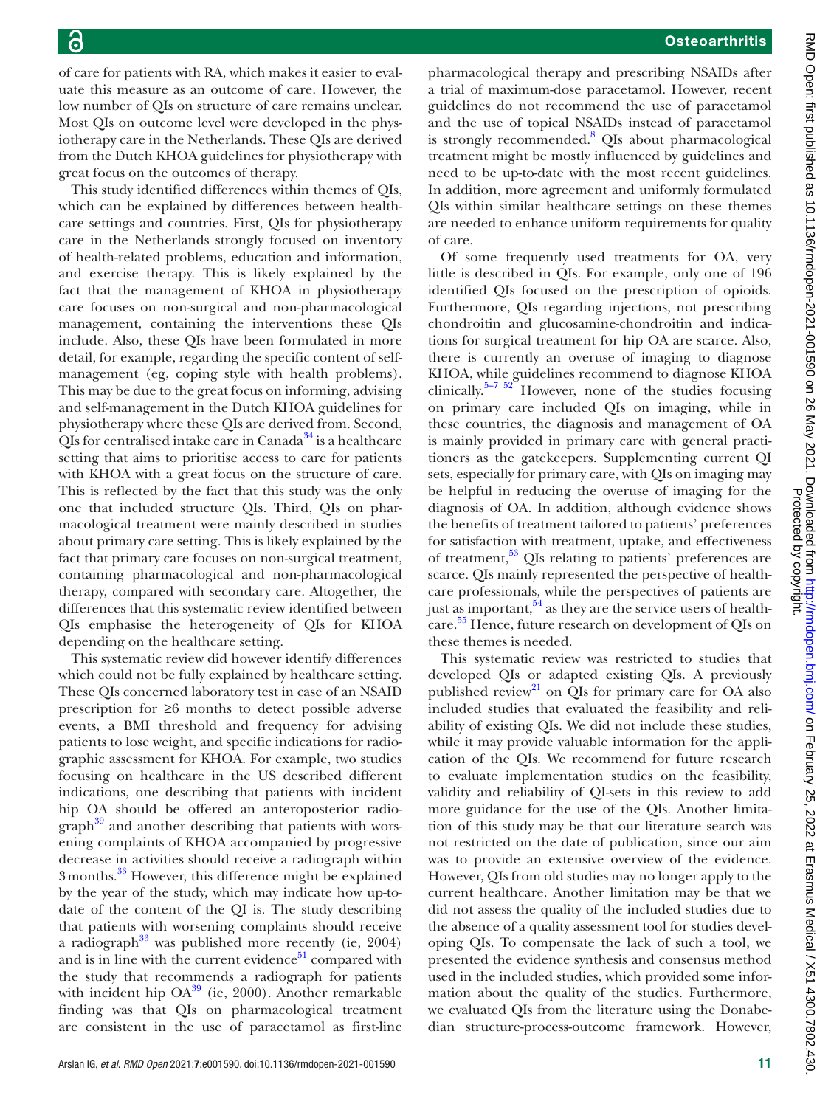of care for patients with RA, which makes it easier to evaluate this measure as an outcome of care. However, the low number of QIs on structure of care remains unclear. Most QIs on outcome level were developed in the physiotherapy care in the Netherlands. These QIs are derived from the Dutch KHOA guidelines for physiotherapy with great focus on the outcomes of therapy.

This study identified differences within themes of QIs, which can be explained by differences between healthcare settings and countries. First, QIs for physiotherapy care in the Netherlands strongly focused on inventory of health-related problems, education and information, and exercise therapy. This is likely explained by the fact that the management of KHOA in physiotherapy care focuses on non-surgical and non-pharmacological management, containing the interventions these QIs include. Also, these QIs have been formulated in more detail, for example, regarding the specific content of selfmanagement (eg, coping style with health problems). This may be due to the great focus on informing, advising and self-management in the Dutch KHOA guidelines for physiotherapy where these QIs are derived from. Second, QIs for centralised intake care in Canada $34$  is a healthcare setting that aims to prioritise access to care for patients with KHOA with a great focus on the structure of care. This is reflected by the fact that this study was the only one that included structure QIs. Third, QIs on pharmacological treatment were mainly described in studies about primary care setting. This is likely explained by the fact that primary care focuses on non-surgical treatment, containing pharmacological and non-pharmacological therapy, compared with secondary care. Altogether, the differences that this systematic review identified between QIs emphasise the heterogeneity of QIs for KHOA depending on the healthcare setting.

This systematic review did however identify differences which could not be fully explained by healthcare setting. These QIs concerned laboratory test in case of an NSAID prescription for ≥6 months to detect possible adverse events, a BMI threshold and frequency for advising patients to lose weight, and specific indications for radiographic assessment for KHOA. For example, two studies focusing on healthcare in the US described different indications, one describing that patients with incident hip OA should be offered an anteroposterior radiograph<sup>39</sup> and another describing that patients with worsening complaints of KHOA accompanied by progressive decrease in activities should receive a radiograph within 3months[.33](#page-12-14) However, this difference might be explained by the year of the study, which may indicate how up-todate of the content of the QI is. The study describing that patients with worsening complaints should receive a radiograph<sup>33</sup> was published more recently (ie,  $2004$ ) and is in line with the current evidence $51$  compared with the study that recommends a radiograph for patients with incident hip  $OA^{39}$  $OA^{39}$  $OA^{39}$  (ie, 2000). Another remarkable finding was that QIs on pharmacological treatment are consistent in the use of paracetamol as first-line

pharmacological therapy and prescribing NSAIDs after a trial of maximum-dose paracetamol. However, recent guidelines do not recommend the use of paracetamol and the use of topical NSAIDs instead of paracetamol is strongly recommended.<sup>8</sup> QIs about pharmacological treatment might be mostly influenced by guidelines and need to be up-to-date with the most recent guidelines. In addition, more agreement and uniformly formulated QIs within similar healthcare settings on these themes are needed to enhance uniform requirements for quality of care.

Of some frequently used treatments for OA, very little is described in QIs. For example, only one of 196 identified QIs focused on the prescription of opioids. Furthermore, QIs regarding injections, not prescribing chondroitin and glucosamine-chondroitin and indications for surgical treatment for hip OA are scarce. Also, there is currently an overuse of imaging to diagnose KHOA, while guidelines recommend to diagnose KHOA clinically.<sup>5–7 52</sup> However, none of the studies focusing on primary care included QIs on imaging, while in these countries, the diagnosis and management of OA is mainly provided in primary care with general practitioners as the gatekeepers. Supplementing current QI sets, especially for primary care, with QIs on imaging may be helpful in reducing the overuse of imaging for the diagnosis of OA. In addition, although evidence shows the benefits of treatment tailored to patients' preferences for satisfaction with treatment, uptake, and effectiveness of treatment,<sup>53</sup> QIs relating to patients' preferences are scarce. QIs mainly represented the perspective of healthcare professionals, while the perspectives of patients are just as important,  $54$  as they are the service users of healthcare.<sup>55</sup> Hence, future research on development of QIs on these themes is needed.

This systematic review was restricted to studies that developed QIs or adapted existing QIs. A previously published review<sup>21</sup> on QIs for primary care for OA also included studies that evaluated the feasibility and reliability of existing QIs. We did not include these studies, while it may provide valuable information for the application of the QIs. We recommend for future research to evaluate implementation studies on the feasibility, validity and reliability of QI-sets in this review to add more guidance for the use of the QIs. Another limitation of this study may be that our literature search was not restricted on the date of publication, since our aim was to provide an extensive overview of the evidence. However, QIs from old studies may no longer apply to the current healthcare. Another limitation may be that we did not assess the quality of the included studies due to the absence of a quality assessment tool for studies developing QIs. To compensate the lack of such a tool, we presented the evidence synthesis and consensus method used in the included studies, which provided some information about the quality of the studies. Furthermore, we evaluated QIs from the literature using the Donabedian structure-process-outcome framework. However,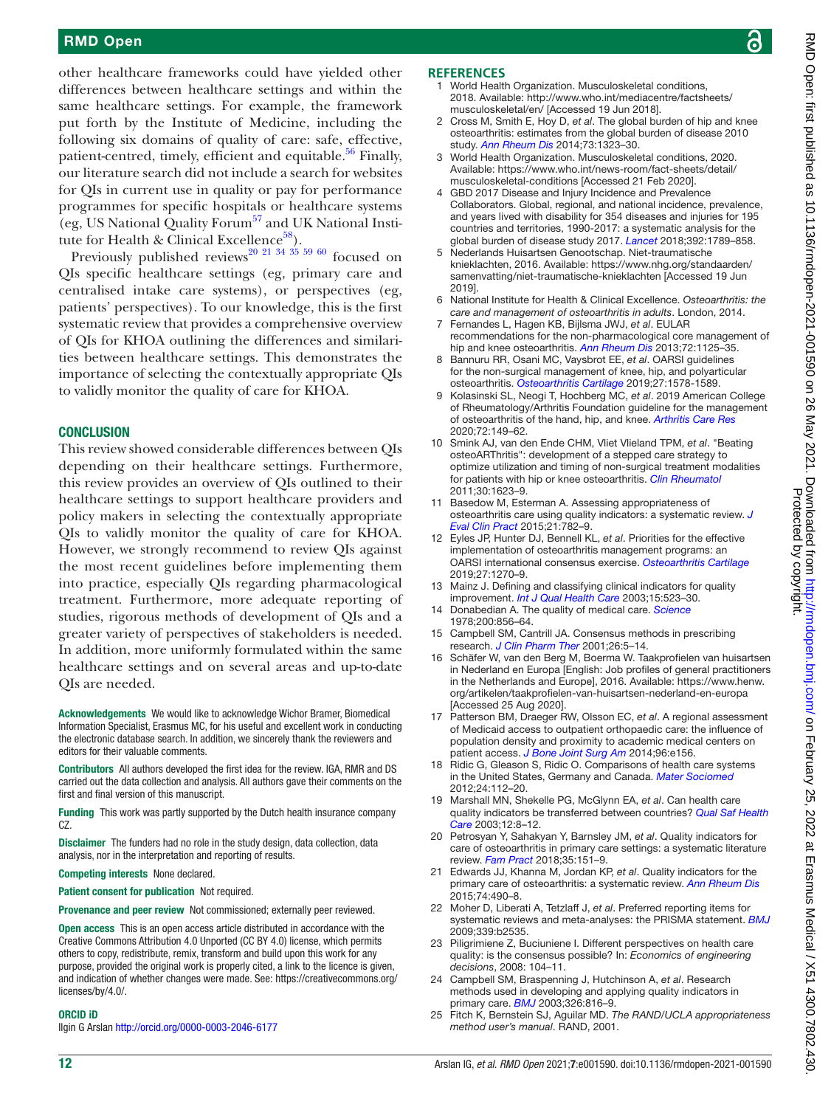#### RMD Open

other healthcare frameworks could have yielded other differences between healthcare settings and within the same healthcare settings. For example, the framework put forth by the Institute of Medicine, including the following six domains of quality of care: safe, effective, patient-centred, timely, efficient and equitable. $56$  Finally, our literature search did not include a search for websites for QIs in current use in quality or pay for performance programmes for specific hospitals or healthcare systems (eg, US National Quality Forum $<sup>57</sup>$  and UK National Insti-</sup> tute for Health & Clinical Excellence<sup>58</sup>).

Previously published reviews<sup>[20 21 34 35 59 60](#page-11-8)</sup> focused on QIs specific healthcare settings (eg, primary care and centralised intake care systems), or perspectives (eg, patients' perspectives). To our knowledge, this is the first systematic review that provides a comprehensive overview of QIs for KHOA outlining the differences and similarities between healthcare settings. This demonstrates the importance of selecting the contextually appropriate QIs to validly monitor the quality of care for KHOA.

#### **CONCLUSION**

This review showed considerable differences between QIs depending on their healthcare settings. Furthermore, this review provides an overview of QIs outlined to their healthcare settings to support healthcare providers and policy makers in selecting the contextually appropriate QIs to validly monitor the quality of care for KHOA. However, we strongly recommend to review QIs against the most recent guidelines before implementing them into practice, especially QIs regarding pharmacological treatment. Furthermore, more adequate reporting of studies, rigorous methods of development of QIs and a greater variety of perspectives of stakeholders is needed. In addition, more uniformly formulated within the same healthcare settings and on several areas and up-to-date QIs are needed.

Acknowledgements We would like to acknowledge Wichor Bramer, Biomedical Information Specialist, Erasmus MC, for his useful and excellent work in conducting the electronic database search. In addition, we sincerely thank the reviewers and editors for their valuable comments.

Contributors All authors developed the first idea for the review. IGA, RMR and DS carried out the data collection and analysis. All authors gave their comments on the first and final version of this manuscript.

Funding This work was partly supported by the Dutch health insurance company CZ.

Disclaimer The funders had no role in the study design, data collection, data analysis, nor in the interpretation and reporting of results.

Competing interests None declared.

Patient consent for publication Not required.

Provenance and peer review Not commissioned; externally peer reviewed.

Open access This is an open access article distributed in accordance with the Creative Commons Attribution 4.0 Unported (CC BY 4.0) license, which permits others to copy, redistribute, remix, transform and build upon this work for any purpose, provided the original work is properly cited, a link to the licence is given, and indication of whether changes were made. See: [https://creativecommons.org/](https://creativecommons.org/licenses/by/4.0/) [licenses/by/4.0/](https://creativecommons.org/licenses/by/4.0/).

#### ORCID iD

Ilgin G Arslan <http://orcid.org/0000-0003-2046-6177>

#### **REFERENCES**

- <span id="page-11-0"></span>World Health Organization. Musculoskeletal conditions, 2018. Available: [http://www.who.int/mediacentre/factsheets/](http://www.who.int/mediacentre/factsheets/musculoskeletal/en/) [musculoskeletal/en/](http://www.who.int/mediacentre/factsheets/musculoskeletal/en/) [Accessed 19 Jun 2018].
- <span id="page-11-1"></span>2 Cross M, Smith E, Hoy D, *et al*. The global burden of hip and knee osteoarthritis: estimates from the global burden of disease 2010 study. *[Ann Rheum Dis](http://dx.doi.org/10.1136/annrheumdis-2013-204763)* 2014;73:1323–30.
- 3 World Health Organization. Musculoskeletal conditions, 2020. Available: [https://www.who.int/news-room/fact-sheets/detail/](https://www.who.int/news-room/fact-sheets/detail/musculoskeletal-conditions) [musculoskeletal-conditions](https://www.who.int/news-room/fact-sheets/detail/musculoskeletal-conditions) [Accessed 21 Feb 2020].
- GBD 2017 Disease and Injury Incidence and Prevalence Collaborators. Global, regional, and national incidence, prevalence, and years lived with disability for 354 diseases and injuries for 195 countries and territories, 1990-2017: a systematic analysis for the global burden of disease study 2017. *[Lancet](http://dx.doi.org/10.1016/S0140-6736(18)32279-7)* 2018;392:1789–858.
- <span id="page-11-2"></span>5 Nederlands Huisartsen Genootschap. Niet-traumatische knieklachten, 2016. Available: [https://www.nhg.org/standaarden/](https://www.nhg.org/standaarden/samenvatting/niet-traumatische-knieklachten) [samenvatting/niet-traumatische-knieklachten](https://www.nhg.org/standaarden/samenvatting/niet-traumatische-knieklachten) [Accessed 19 Jun 2019].
- <span id="page-11-12"></span>6 National Institute for Health & Clinical Excellence. *Osteoarthritis: the care and management of osteoarthritis in adults*. London, 2014.
- 7 Fernandes L, Hagen KB, Bijlsma JWJ, *et al*. EULAR recommendations for the non-pharmacological core management of hip and knee osteoarthritis. *[Ann Rheum Dis](http://dx.doi.org/10.1136/annrheumdis-2012-202745)* 2013;72:1125–35.
- <span id="page-11-13"></span>8 Bannuru RR, Osani MC, Vaysbrot EE, *et al*. OARSI guidelines for the non-surgical management of knee, hip, and polyarticular osteoarthritis. *[Osteoarthritis Cartilage](http://dx.doi.org/10.1016/j.joca.2019.06.011)* 2019;27:1578-1589.
- 9 Kolasinski SL, Neogi T, Hochberg MC, *et al*. 2019 American College of Rheumatology/Arthritis Foundation guideline for the management of osteoarthritis of the hand, hip, and knee. *[Arthritis Care Res](http://dx.doi.org/10.1002/acr.24131)* 2020;72:149–62.
- <span id="page-11-3"></span>10 Smink AJ, van den Ende CHM, Vliet Vlieland TPM, *et al*. "Beating osteoARThritis": development of a stepped care strategy to optimize utilization and timing of non-surgical treatment modalities for patients with hip or knee osteoarthritis. *[Clin Rheumatol](http://dx.doi.org/10.1007/s10067-011-1835-x)* 2011;30:1623–9.
- 11 Basedow M, Esterman A. Assessing appropriateness of osteoarthritis care using quality indicators: a systematic review. *[J](http://dx.doi.org/10.1111/jep.12402)  [Eval Clin Pract](http://dx.doi.org/10.1111/jep.12402)* 2015;21:782–9.
- <span id="page-11-4"></span>12 Eyles JP, Hunter DJ, Bennell KL, *et al*. Priorities for the effective implementation of osteoarthritis management programs: an OARSI international consensus exercise. *[Osteoarthritis Cartilage](http://dx.doi.org/10.1016/j.joca.2019.05.015)* 2019;27:1270–9.
- <span id="page-11-5"></span>13 Mainz J. Defining and classifying clinical indicators for quality improvement. *[Int J Qual Health Care](http://dx.doi.org/10.1093/intqhc/mzg081)* 2003;15:523–30.
- 14 Donabedian A. The quality of medical care. *[Science](http://dx.doi.org/10.1126/science.417400)* 1978;200:856–64.
- 15 Campbell SM, Cantrill JA. Consensus methods in prescribing research. *[J Clin Pharm Ther](http://dx.doi.org/10.1046/j.1365-2710.2001.00331.x)* 2001;26:5–14.
- 16 Schäfer W, van den Berg M, Boerma W. Taakprofielen van huisartsen in Nederland en Europa [English: Job profiles of general practitioners in the Netherlands and Europe], 2016. Available: [https://www.henw.](https://www.henw.org/artikelen/taakprofielen-van-huisartsen-nederland-en-europa) [org/artikelen/taakprofielen-van-huisartsen-nederland-en-europa](https://www.henw.org/artikelen/taakprofielen-van-huisartsen-nederland-en-europa) [Accessed 25 Aug 2020].
- <span id="page-11-6"></span>17 Patterson BM, Draeger RW, Olsson EC, *et al*. A regional assessment of Medicaid access to outpatient orthopaedic care: the influence of population density and proximity to academic medical centers on patient access. *[J Bone Joint Surg Am](http://dx.doi.org/10.2106/JBJS.M.01188)* 2014;96:e156.
- 18 Ridic G, Gleason S, Ridic O. Comparisons of health care systems in the United States, Germany and Canada. *[Mater Sociomed](http://dx.doi.org/10.5455/msm.2012.24.112-120)* 2012;24:112–20.
- <span id="page-11-7"></span>19 Marshall MN, Shekelle PG, McGlynn EA, *et al*. Can health care quality indicators be transferred between countries? *[Qual Saf Health](http://dx.doi.org/10.1136/qhc.12.1.8)  [Care](http://dx.doi.org/10.1136/qhc.12.1.8)* 2003;12:8–12.
- <span id="page-11-8"></span>20 Petrosyan Y, Sahakyan Y, Barnsley JM, *et al*. Quality indicators for care of osteoarthritis in primary care settings: a systematic literature review. *[Fam Pract](http://dx.doi.org/10.1093/fampra/cmx090)* 2018;35:151–9.
- <span id="page-11-11"></span>21 Edwards JJ, Khanna M, Jordan KP, *et al*. Quality indicators for the primary care of osteoarthritis: a systematic review. *[Ann Rheum Dis](http://dx.doi.org/10.1136/annrheumdis-2013-203913)* 2015;74:490–8.
- <span id="page-11-9"></span>22 Moher D, Liberati A, Tetzlaff J, *et al*. Preferred reporting items for systematic reviews and meta-analyses: the PRISMA statement. *[BMJ](http://dx.doi.org/10.1136/bmj.b2535)* 2009;339:b2535.
- 23 Piligrimiene Z, Buciuniene I. Different perspectives on health care quality: is the consensus possible? In: *Economics of engineering decisions*, 2008: 104–11.
- <span id="page-11-10"></span>24 Campbell SM, Braspenning J, Hutchinson A, *et al*. Research methods used in developing and applying quality indicators in primary care. *[BMJ](http://dx.doi.org/10.1136/bmj.326.7393.816)* 2003;326:816–9.
- 25 Fitch K, Bernstein SJ, Aguilar MD. *The RAND/UCLA appropriateness method user's manual*. RAND, 2001.